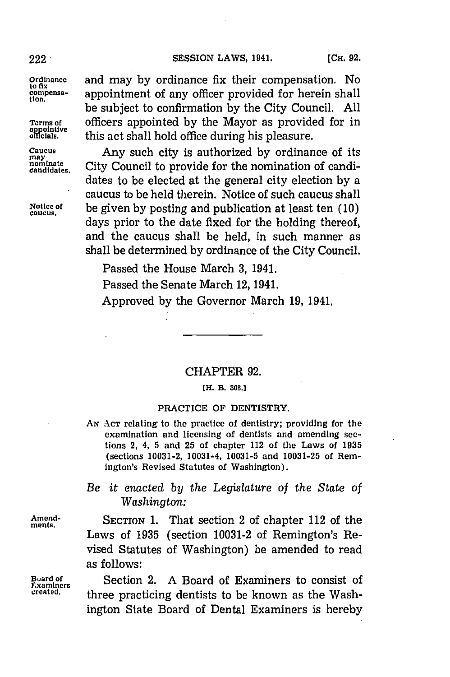222 **SESSION** LAWS, 1941. **(CH. 92.**

may<br>nominate<br>candidates.

**Ordinance** and may **by** ordinance fix their compensation. No compensa-<br>tion.<br> be subject to confirmation **by** the City Council. **All** Terms **of** officers appointed **by** the Mayor as provided for in this act shall hold office during his pleasure.

Caucus Any such city is authorized **by** ordinance of its City Council to provide for the nomination of candidates to be elected at the general city election **by** a caucus to be held therein. Notice of such caucus shall reduction be next therein. Notice of such caucus<br>
be given by posting and publication at least te days prior to the date fixed for the holding thereof, and the caucus shall be held, in such manner as shall be determined **by** ordinance of the City Council.

Passed the House March **3,** 1941.

Passed the Senate March 12, 1941.

Approved **by** the Governor March **19,** 1941.

## CHAPTER **92.**

## [H. **B. 308.]**

## PRACTICE **OF** DENTISTRY.

**AN ACT** relating to the practice of dentistry; providing for the examination and licensing of dentists and amending sections 2, 4, **5** and **25** of chapter 112 of the Laws of **1935** (sections **10031-2,** 10031-4, **10031-5** and **10031-25** of Remington's Revised Statutes of Washington).

## *Be it enacted by the Legislature of the State of Washington:*

Amend-<br> **SECTION 1.** That section 2 of chapter 112 of the Laws of **1935** (section **10031-2** of Remington's Revised Statutes of Washington) be amended to read as follows:

Buard of **Section 2.** A Board of Examiners to consist of <br>Examiners<br>greated. **These presiding dentists to be known** as the Work three practicing dentists to be known as the Washington State Board of Dental Examiners is hereby

**ments.**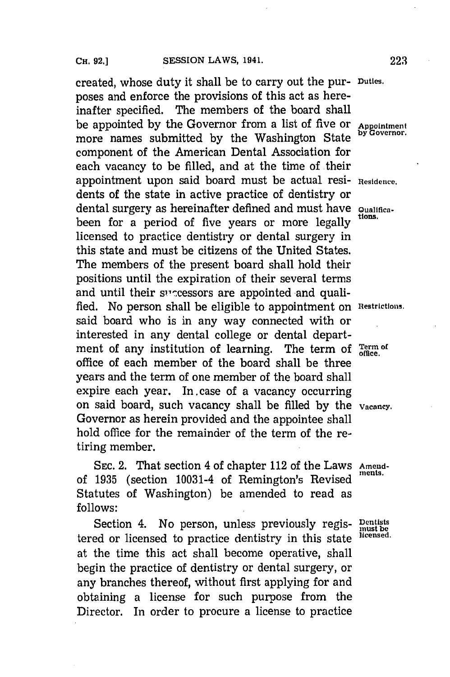created, whose duty it shall be to carry out the pur- **Duties.** poses and enforce the provisions of this act as hereinafter specified. The members of the board shall be appointed by the Governor from a list of five or **Appointment** more names submitted by the Washington State component of the American Dental Association for each vacancy to be filled, and at the time of their appointment upon said board must be actual resi- Residence. dents of the state in active practice of dentistry or dental surgery as hereinafter defined and must have  $Q_{\text{ualifica}}$ been for a period of five years or more legally licensed to practice dentistry or dental surgery in this state and must be citizens of the United States. The members of the present board shall hold their positions until the expiration of their several terms and until their successors are appointed and qualified. No person shall be eligible to appointment on **Restrictions.** said board who is in any way connected with or interested in any dental college or dental department of any institution of learning. The term of Term of office of each member of the board shall be three years and the term of one member of the board shall expire each year. In case of a vacancy occurring on said board, such vacancy shall be filled **by** the **Vacancy.** Governor as herein provided and the appointee shall hold office for the remainder of the term of the retiring member.

SEC. 2. That section 4 of chapter 112 of the Laws Amendof 1935 (section 10031-4 of Remington's Revised Statutes of Washington) be amended to read as **follows:**

Section 4. No person, unless previously regis- **Dentists** and or licensed to precise dentistments in this state illegensed. tered or licensed to practice dentistry in this state at the time this act shall become operative, shall begin the practice of dentistry or dental surgery, or any branches thereof, without first applying for and obtaining a license for such purpose from the Director. In order to procure a license to practice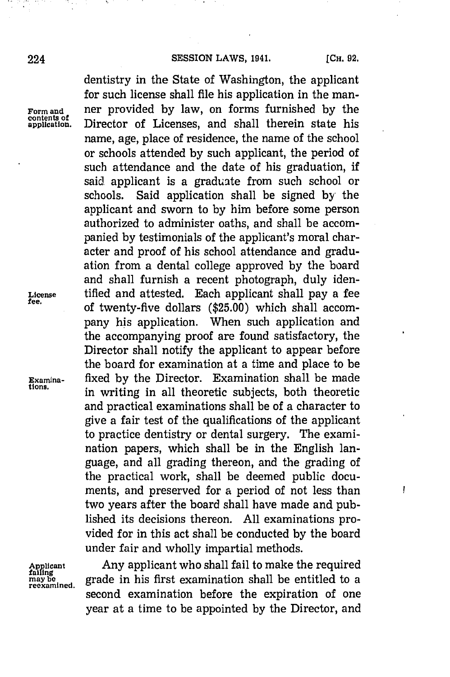ļ

dentistry in the State of Washington, the applicant for such license shall file his application in the man-**Form and** ner provided **by** law, on forms furnished **by** the Director of Licenses, and shall therein state his name, age, place of residence, the name of the school or schools attended **by** such applicant, the period of such attendance and the date of his graduation, if said applicant is a graduate from such school or schools. Said application shall be signed **by** the applicant and sworn to **by** him before some person authorized to administer oaths, and shall be accompanied **by** testimonials of the applicant's moral character and proof of his school attendance and graduation from a dental college approved **by** the board and shall furnish a recent photograph, duly iden-**License** tified and attested. Each applicant shall pay a fee **fee,** of twenty-five dollars **(\$25.00)** which shall accompany his application. When such application and the accompanying proof are found satisfactory, the Director shall notify the applicant to appear before the board for examination at a time and place to be **Examine-** fixed **by** the Director. Examination shall be made **tions,** in writing in all theoretic subjects, both theoretic and practical examinations shall be of a character to give a fair test of the qualifications of the applicant to practice dentistry or dental surgery. The examination papers, which shall be in the English language, and all grading thereon, and the grading of the practical work, shall be deemed public documents, and preserved for a period of not less than two years after the board shall have made and published its decisions thereon. **All** examinations provided for in this act shall be conducted **by** the board under fair and wholly impartial methods.

**Applicant**<br>**failing**<br>may be

Any applicant who shall fail to make the required reating the state in his first examination shall be entitled to a<br>reexamined. second examination before the expiration of one year at a time to be appointed **by** the Director, and

Form and<br>contents of<br>application.